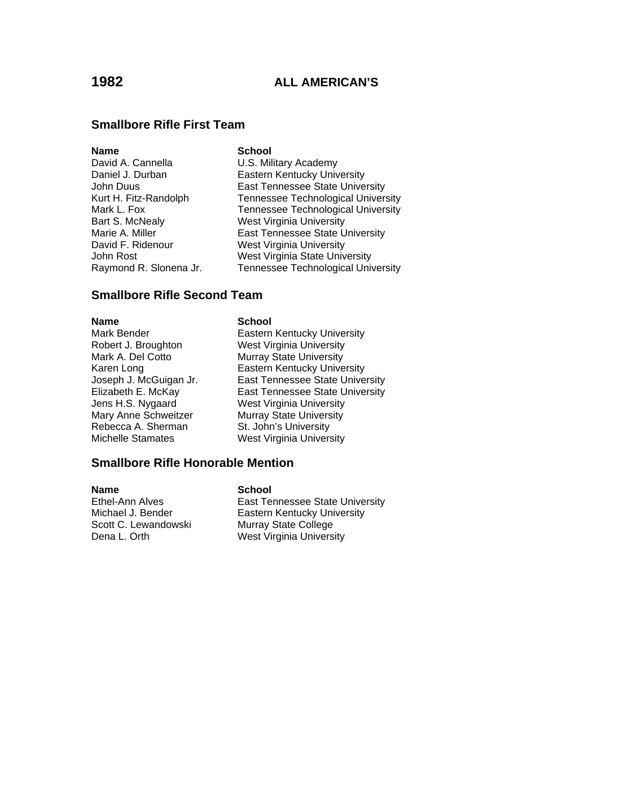### **Smallbore Rifle First Team**

#### **Name** School

David A. Cannella **U.S. Military Academy** Daniel J. Durban **Eastern Kentucky University** John Duus East Tennessee State University Kurt H. Fitz-Randolph Tennessee Technological University Mark L. Fox **Tennessee Technological University** Bart S. McNealy West Virginia University Marie A. Miller **East Tennessee State University** David F. Ridenour West Virginia University John Rost West Virginia State University Raymond R. Slonena Jr. Tennessee Technological University

### **Smallbore Rifle Second Team**

Rebecca A. Sherman St. John's University

#### **Name School**

Mark Bender **Eastern Kentucky University** Robert J. Broughton West Virginia University Mark A. Del Cotto Murray State University Karen Long<br>Joseph J. McGuigan Jr. East Tennessee State Unive East Tennessee State University Elizabeth E. McKay East Tennessee State University Jens H.S. Nygaard West Virginia University Mary Anne Schweitzer Murray State University Michelle Stamates West Virginia University

### **Smallbore Rifle Honorable Mention**

**Name** School Ethel-Ann Alves **East Tennessee State University** Michael J. Bender<br>
Scott C. Lewandowski Murray State College Scott C. Lewandowski Dena L. Orth West Virginia University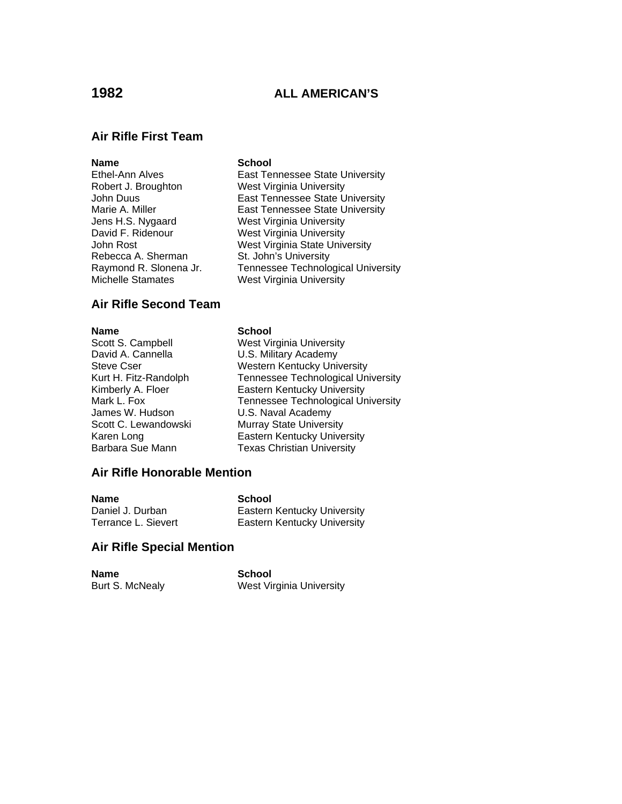## **1982 ALL AMERICAN'S**

# **Air Rifle First Team**

#### **Name** School

Robert J. Broughton West Virginia University David F. Ridenour West Virginia University

Ethel-Ann Alves East Tennessee State University John Duus East Tennessee State University Marie A. Miller **East Tennessee State University** Jens H.S. Nygaard West Virginia University John Rost<br>
Rebecca A. Sherman<br>
St. John's University St. John's University Raymond R. Slonena Jr. Tennessee Technological University<br>Michelle Stamates Terman West Virginia University West Virginia University

### **Air Rifle Second Team**

**Name School**<br>Scott S. Campbell **Scott S.** Campbell David A. Cannella **U.S. Military Academy** James W. Hudson **U.S. Naval Academy**<br>Scott C. Lewandowski Murray State Univers

West Virginia University Steve Cser Western Kentucky University<br>
Kurt H. Fitz-Randolph Tennessee Technological Uni Tennessee Technological University Kimberly A. Floer **Eastern Kentucky University** Mark L. Fox **Tennessee Technological University**<br>James W. Hudson Ju.S. Naval Academy Murray State University Karen Long **Eastern Kentucky University** Barbara Sue Mann Texas Christian University

#### **Air Rifle Honorable Mention**

| <b>Name</b>         | School                      |
|---------------------|-----------------------------|
| Daniel J. Durban    | Eastern Kentucky University |
| Terrance L. Sievert | Eastern Kentucky University |

#### **Air Rifle Special Mention**

| <b>Name</b>     | School                   |
|-----------------|--------------------------|
| Burt S. McNealy | West Virginia University |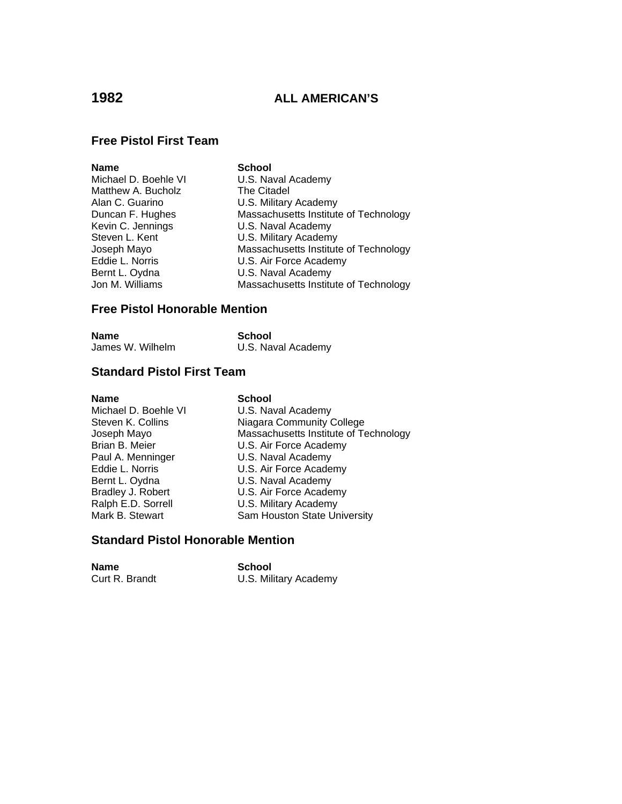### **1982 ALL AMERICAN'S**

### **Free Pistol First Team**

| <b>Name</b>          | <b>School</b>                         |
|----------------------|---------------------------------------|
| Michael D. Boehle VI | U.S. Naval Academy                    |
| Matthew A. Bucholz   | The Citadel                           |
| Alan C. Guarino      | U.S. Military Academy                 |
| Duncan F. Hughes     | Massachusetts Institute of Technology |
| Kevin C. Jennings    | U.S. Naval Academy                    |
| Steven L. Kent       | U.S. Military Academy                 |
| Joseph Mayo          | Massachusetts Institute of Technology |
| Eddie L. Norris      | U.S. Air Force Academy                |
| Bernt L. Oydna       | U.S. Naval Academy                    |
| Jon M. Williams      | Massachusetts Institute of Technology |
|                      |                                       |

### **Free Pistol Honorable Mention**

| Name             | School             |
|------------------|--------------------|
| James W. Wilhelm | U.S. Naval Academy |

### **Standard Pistol First Team**

#### **Name** School

Michael D. Boehle VI U.S. Naval Academy<br>Steven K. Collins Niagara Community C Steven K. Collins **Niagara Community College**<br>
Joseph Mayo **National Massachusetts Institute of Te** Massachusetts Institute of Technology Brian B. Meier **U.S. Air Force Academy**<br>
Paul A. Menninger **U.S. Naval Academy** Paul A. Menninger U.S. Naval Academy U.S. Air Force Academy Bernt L. Oydna U.S. Naval Academy<br>Bradley J. Robert U.S. Air Force Acade Bradley J. Robert U.S. Air Force Academy<br>
Ralph E.D. Sorrell U.S. Military Academy U.S. Military Academy Mark B. Stewart Sam Houston State University

#### **Standard Pistol Honorable Mention**

**Name** School

Curt R. Brandt **U.S. Military Academy**